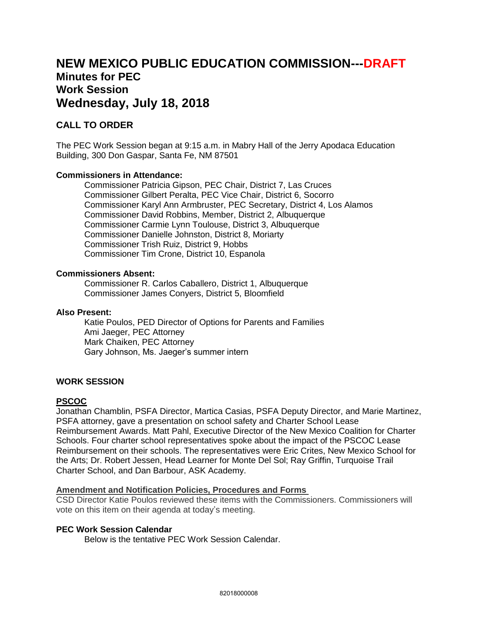# **NEW MEXICO PUBLIC EDUCATION COMMISSION---DRAFT Minutes for PEC Work Session Wednesday, July 18, 2018**

# **CALL TO ORDER**

The PEC Work Session began at 9:15 a.m. in Mabry Hall of the Jerry Apodaca Education Building, 300 Don Gaspar, Santa Fe, NM 87501

#### **Commissioners in Attendance:**

Commissioner Patricia Gipson, PEC Chair, District 7, Las Cruces Commissioner Gilbert Peralta, PEC Vice Chair, District 6, Socorro Commissioner Karyl Ann Armbruster, PEC Secretary, District 4, Los Alamos Commissioner David Robbins, Member, District 2, Albuquerque Commissioner Carmie Lynn Toulouse, District 3, Albuquerque Commissioner Danielle Johnston, District 8, Moriarty Commissioner Trish Ruiz, District 9, Hobbs Commissioner Tim Crone, District 10, Espanola

#### **Commissioners Absent:**

Commissioner R. Carlos Caballero, District 1, Albuquerque Commissioner James Conyers, District 5, Bloomfield

#### **Also Present:**

Katie Poulos, PED Director of Options for Parents and Families Ami Jaeger, PEC Attorney Mark Chaiken, PEC Attorney Gary Johnson, Ms. Jaeger's summer intern

#### **WORK SESSION**

#### **PSCOC**

Jonathan Chamblin, PSFA Director, Martica Casias, PSFA Deputy Director, and Marie Martinez, PSFA attorney, gave a presentation on school safety and Charter School Lease Reimbursement Awards. Matt Pahl, Executive Director of the New Mexico Coalition for Charter Schools. Four charter school representatives spoke about the impact of the PSCOC Lease Reimbursement on their schools. The representatives were Eric Crites, New Mexico School for the Arts; Dr. Robert Jessen, Head Learner for Monte Del Sol; Ray Griffin, Turquoise Trail Charter School, and Dan Barbour, ASK Academy.

### **Amendment and Notification Policies, Procedures and Forms**

CSD Director Katie Poulos reviewed these items with the Commissioners. Commissioners will vote on this item on their agenda at today's meeting.

#### **PEC Work Session Calendar**

Below is the tentative PEC Work Session Calendar.